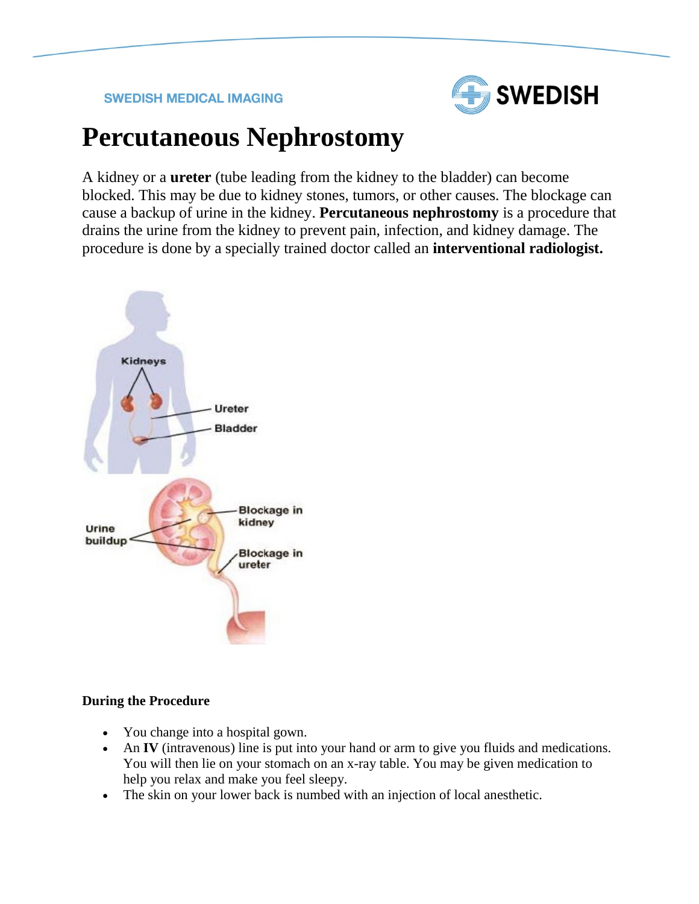## **SWEDISH MEDICAL IMAGING**



## **Percutaneous Nephrostomy**

A kidney or a **ureter** (tube leading from the kidney to the bladder) can become blocked. This may be due to kidney stones, tumors, or other causes. The blockage can cause a backup of urine in the kidney. **Percutaneous nephrostomy** is a procedure that drains the urine from the kidney to prevent pain, infection, and kidney damage. The procedure is done by a specially trained doctor called an **interventional radiologist.**



## **During the Procedure**

- You change into a hospital gown.
- An **IV** (intravenous) line is put into your hand or arm to give you fluids and medications. You will then lie on your stomach on an x-ray table. You may be given medication to help you relax and make you feel sleepy.
- The skin on your lower back is numbed with an injection of local anesthetic.